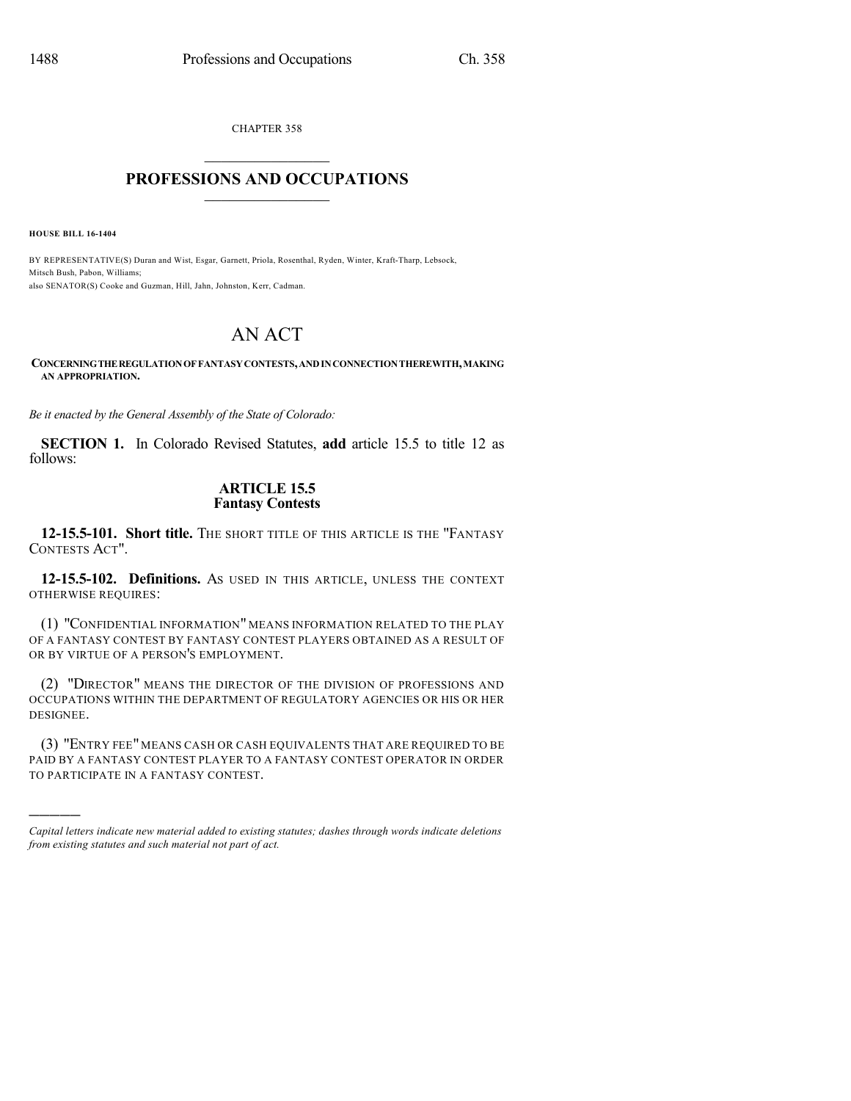CHAPTER 358

## $\mathcal{L}_\text{max}$  . The set of the set of the set of the set of the set of the set of the set of the set of the set of the set of the set of the set of the set of the set of the set of the set of the set of the set of the set **PROFESSIONS AND OCCUPATIONS**  $\frac{1}{2}$  ,  $\frac{1}{2}$  ,  $\frac{1}{2}$  ,  $\frac{1}{2}$  ,  $\frac{1}{2}$  ,  $\frac{1}{2}$  ,  $\frac{1}{2}$

**HOUSE BILL 16-1404**

)))))

BY REPRESENTATIVE(S) Duran and Wist, Esgar, Garnett, Priola, Rosenthal, Ryden, Winter, Kraft-Tharp, Lebsock, Mitsch Bush, Pabon, Williams; also SENATOR(S) Cooke and Guzman, Hill, Jahn, Johnston, Kerr, Cadman.

# AN ACT

#### **CONCERNINGTHEREGULATIONOFFANTASYCONTESTS,ANDINCONNECTIONTHEREWITH,MAKING AN APPROPRIATION.**

*Be it enacted by the General Assembly of the State of Colorado:*

**SECTION 1.** In Colorado Revised Statutes, **add** article 15.5 to title 12 as follows:

### **ARTICLE 15.5 Fantasy Contests**

**12-15.5-101. Short title.** THE SHORT TITLE OF THIS ARTICLE IS THE "FANTASY CONTESTS ACT".

**12-15.5-102. Definitions.** AS USED IN THIS ARTICLE, UNLESS THE CONTEXT OTHERWISE REQUIRES:

(1) "CONFIDENTIAL INFORMATION" MEANS INFORMATION RELATED TO THE PLAY OF A FANTASY CONTEST BY FANTASY CONTEST PLAYERS OBTAINED AS A RESULT OF OR BY VIRTUE OF A PERSON'S EMPLOYMENT.

(2) "DIRECTOR" MEANS THE DIRECTOR OF THE DIVISION OF PROFESSIONS AND OCCUPATIONS WITHIN THE DEPARTMENT OF REGULATORY AGENCIES OR HIS OR HER DESIGNEE.

(3) "ENTRY FEE" MEANS CASH OR CASH EQUIVALENTS THAT ARE REQUIRED TO BE PAID BY A FANTASY CONTEST PLAYER TO A FANTASY CONTEST OPERATOR IN ORDER TO PARTICIPATE IN A FANTASY CONTEST.

*Capital letters indicate new material added to existing statutes; dashes through words indicate deletions from existing statutes and such material not part of act.*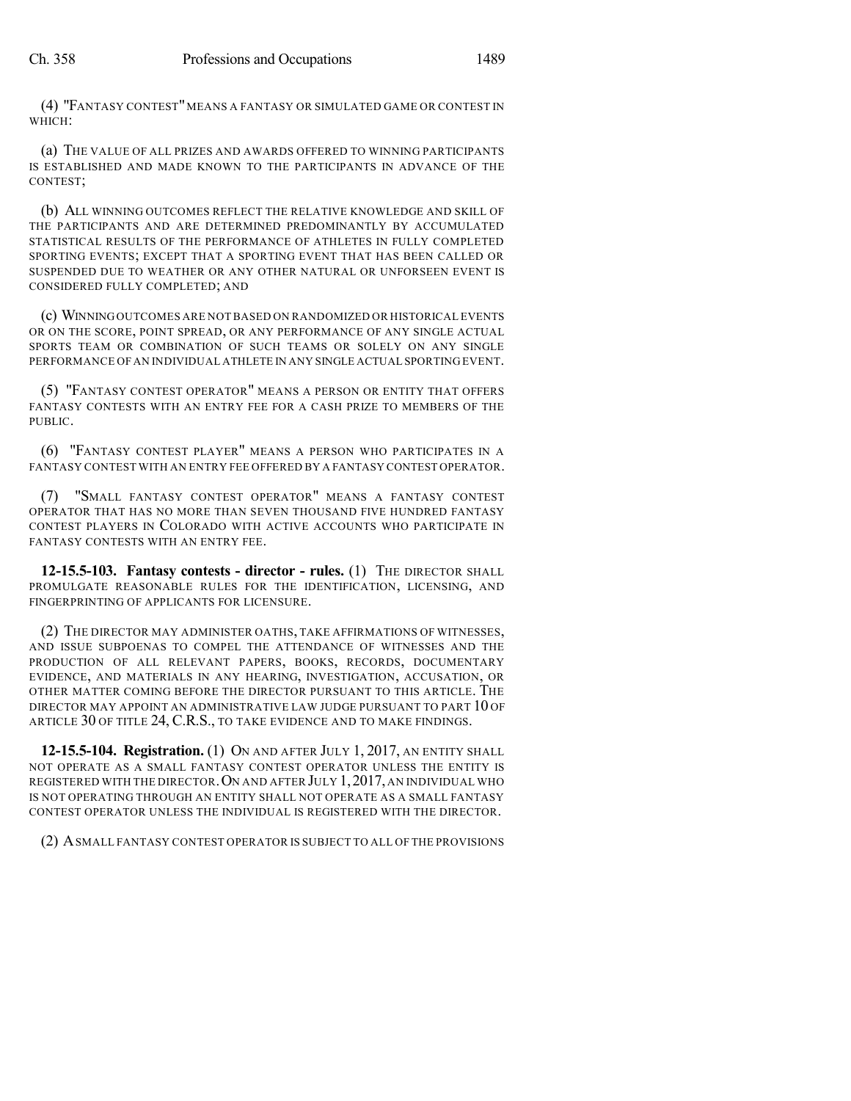(4) "FANTASY CONTEST"MEANS A FANTASY OR SIMULATED GAME OR CONTEST IN WHICH:

(a) THE VALUE OF ALL PRIZES AND AWARDS OFFERED TO WINNING PARTICIPANTS IS ESTABLISHED AND MADE KNOWN TO THE PARTICIPANTS IN ADVANCE OF THE CONTEST;

(b) ALL WINNING OUTCOMES REFLECT THE RELATIVE KNOWLEDGE AND SKILL OF THE PARTICIPANTS AND ARE DETERMINED PREDOMINANTLY BY ACCUMULATED STATISTICAL RESULTS OF THE PERFORMANCE OF ATHLETES IN FULLY COMPLETED SPORTING EVENTS; EXCEPT THAT A SPORTING EVENT THAT HAS BEEN CALLED OR SUSPENDED DUE TO WEATHER OR ANY OTHER NATURAL OR UNFORSEEN EVENT IS CONSIDERED FULLY COMPLETED; AND

(c) WINNINGOUTCOMES ARE NOTBASED ON RANDOMIZED OR HISTORICAL EVENTS OR ON THE SCORE, POINT SPREAD, OR ANY PERFORMANCE OF ANY SINGLE ACTUAL SPORTS TEAM OR COMBINATION OF SUCH TEAMS OR SOLELY ON ANY SINGLE PERFORMANCE OF AN INDIVIDUAL ATHLETE IN ANY SINGLE ACTUAL SPORTING EVENT.

(5) "FANTASY CONTEST OPERATOR" MEANS A PERSON OR ENTITY THAT OFFERS FANTASY CONTESTS WITH AN ENTRY FEE FOR A CASH PRIZE TO MEMBERS OF THE PUBLIC.

(6) "FANTASY CONTEST PLAYER" MEANS A PERSON WHO PARTICIPATES IN A FANTASY CONTEST WITH AN ENTRY FEE OFFERED BY A FANTASY CONTEST OPERATOR.

(7) "SMALL FANTASY CONTEST OPERATOR" MEANS A FANTASY CONTEST OPERATOR THAT HAS NO MORE THAN SEVEN THOUSAND FIVE HUNDRED FANTASY CONTEST PLAYERS IN COLORADO WITH ACTIVE ACCOUNTS WHO PARTICIPATE IN FANTASY CONTESTS WITH AN ENTRY FEE.

**12-15.5-103. Fantasy contests - director - rules.** (1) THE DIRECTOR SHALL PROMULGATE REASONABLE RULES FOR THE IDENTIFICATION, LICENSING, AND FINGERPRINTING OF APPLICANTS FOR LICENSURE.

(2) THE DIRECTOR MAY ADMINISTER OATHS, TAKE AFFIRMATIONS OF WITNESSES, AND ISSUE SUBPOENAS TO COMPEL THE ATTENDANCE OF WITNESSES AND THE PRODUCTION OF ALL RELEVANT PAPERS, BOOKS, RECORDS, DOCUMENTARY EVIDENCE, AND MATERIALS IN ANY HEARING, INVESTIGATION, ACCUSATION, OR OTHER MATTER COMING BEFORE THE DIRECTOR PURSUANT TO THIS ARTICLE. THE DIRECTOR MAY APPOINT AN ADMINISTRATIVE LAW JUDGE PURSUANT TO PART 10 OF ARTICLE 30 OF TITLE 24, C.R.S., TO TAKE EVIDENCE AND TO MAKE FINDINGS.

**12-15.5-104. Registration.** (1) ON AND AFTER JULY 1, 2017, AN ENTITY SHALL NOT OPERATE AS A SMALL FANTASY CONTEST OPERATOR UNLESS THE ENTITY IS REGISTERED WITH THE DIRECTOR.ON AND AFTER JULY 1,2017, AN INDIVIDUAL WHO IS NOT OPERATING THROUGH AN ENTITY SHALL NOT OPERATE AS A SMALL FANTASY CONTEST OPERATOR UNLESS THE INDIVIDUAL IS REGISTERED WITH THE DIRECTOR.

(2) ASMALL FANTASY CONTEST OPERATOR IS SUBJECT TO ALL OF THE PROVISIONS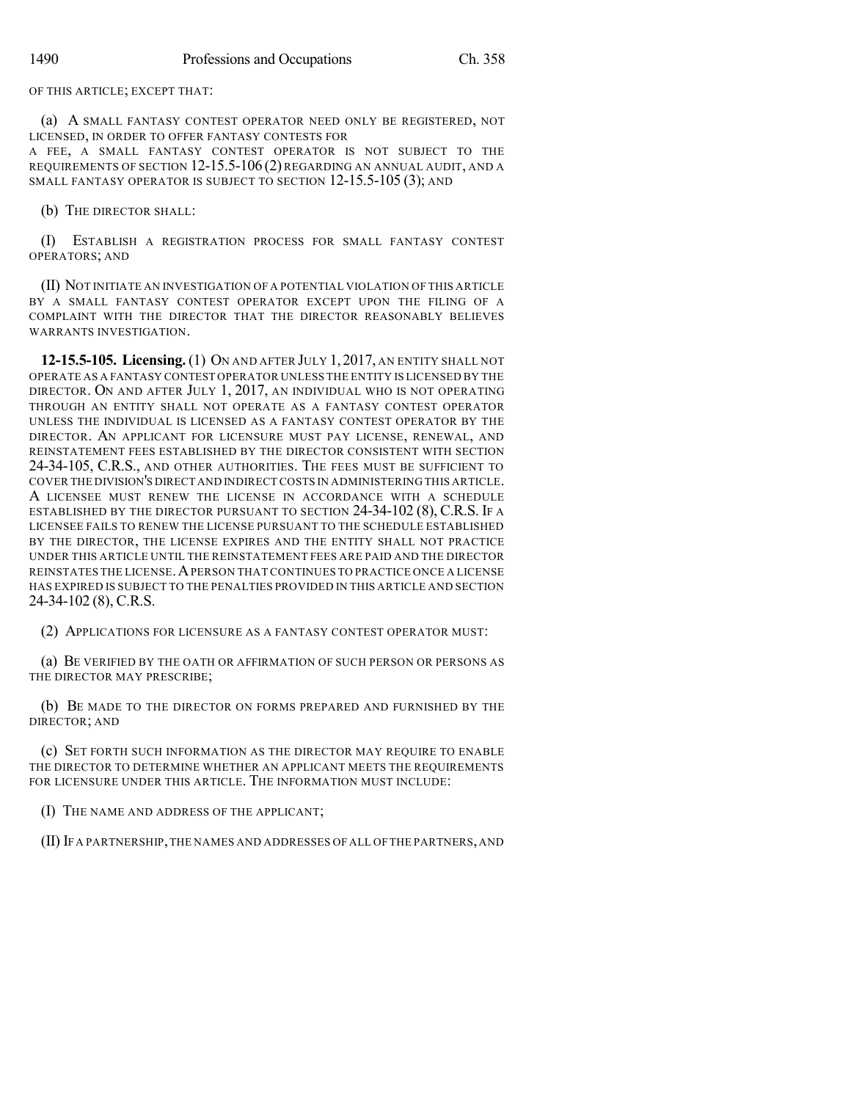OF THIS ARTICLE; EXCEPT THAT:

(a) A SMALL FANTASY CONTEST OPERATOR NEED ONLY BE REGISTERED, NOT LICENSED, IN ORDER TO OFFER FANTASY CONTESTS FOR

A FEE, A SMALL FANTASY CONTEST OPERATOR IS NOT SUBJECT TO THE REQUIREMENTS OF SECTION 12-15.5-106 (2) REGARDING AN ANNUAL AUDIT, AND A SMALL FANTASY OPERATOR IS SUBJECT TO SECTION 12-15.5-105 (3); AND

(b) THE DIRECTOR SHALL:

(I) ESTABLISH A REGISTRATION PROCESS FOR SMALL FANTASY CONTEST OPERATORS; AND

(II) NOT INITIATE AN INVESTIGATION OF A POTENTIAL VIOLATION OF THIS ARTICLE BY A SMALL FANTASY CONTEST OPERATOR EXCEPT UPON THE FILING OF A COMPLAINT WITH THE DIRECTOR THAT THE DIRECTOR REASONABLY BELIEVES WARRANTS INVESTIGATION.

**12-15.5-105. Licensing.**(1) ON AND AFTER JULY 1, 2017, AN ENTITY SHALL NOT OPERATE AS A FANTASY CONTEST OPERATOR UNLESS THE ENTITY IS LICENSED BY THE DIRECTOR. ON AND AFTER JULY 1, 2017, AN INDIVIDUAL WHO IS NOT OPERATING THROUGH AN ENTITY SHALL NOT OPERATE AS A FANTASY CONTEST OPERATOR UNLESS THE INDIVIDUAL IS LICENSED AS A FANTASY CONTEST OPERATOR BY THE DIRECTOR. AN APPLICANT FOR LICENSURE MUST PAY LICENSE, RENEWAL, AND REINSTATEMENT FEES ESTABLISHED BY THE DIRECTOR CONSISTENT WITH SECTION 24-34-105, C.R.S., AND OTHER AUTHORITIES. THE FEES MUST BE SUFFICIENT TO COVER THE DIVISION'S DIRECT AND INDIRECT COSTS IN ADMINISTERING THIS ARTICLE. A LICENSEE MUST RENEW THE LICENSE IN ACCORDANCE WITH A SCHEDULE ESTABLISHED BY THE DIRECTOR PURSUANT TO SECTION 24-34-102 (8), C.R.S. IF A LICENSEE FAILS TO RENEW THE LICENSE PURSUANT TO THE SCHEDULE ESTABLISHED BY THE DIRECTOR, THE LICENSE EXPIRES AND THE ENTITY SHALL NOT PRACTICE UNDER THIS ARTICLE UNTIL THE REINSTATEMENT FEES ARE PAID AND THE DIRECTOR REINSTATES THE LICENSE.APERSON THAT CONTINUES TO PRACTICE ONCE A LICENSE HAS EXPIRED IS SUBJECT TO THE PENALTIES PROVIDED IN THIS ARTICLE AND SECTION 24-34-102 (8), C.R.S.

(2) APPLICATIONS FOR LICENSURE AS A FANTASY CONTEST OPERATOR MUST:

(a) BE VERIFIED BY THE OATH OR AFFIRMATION OF SUCH PERSON OR PERSONS AS THE DIRECTOR MAY PRESCRIBE;

(b) BE MADE TO THE DIRECTOR ON FORMS PREPARED AND FURNISHED BY THE DIRECTOR; AND

(c) SET FORTH SUCH INFORMATION AS THE DIRECTOR MAY REQUIRE TO ENABLE THE DIRECTOR TO DETERMINE WHETHER AN APPLICANT MEETS THE REQUIREMENTS FOR LICENSURE UNDER THIS ARTICLE. THE INFORMATION MUST INCLUDE:

(I) THE NAME AND ADDRESS OF THE APPLICANT;

(II) IFA PARTNERSHIP,THE NAMES AND ADDRESSES OF ALL OFTHE PARTNERS,AND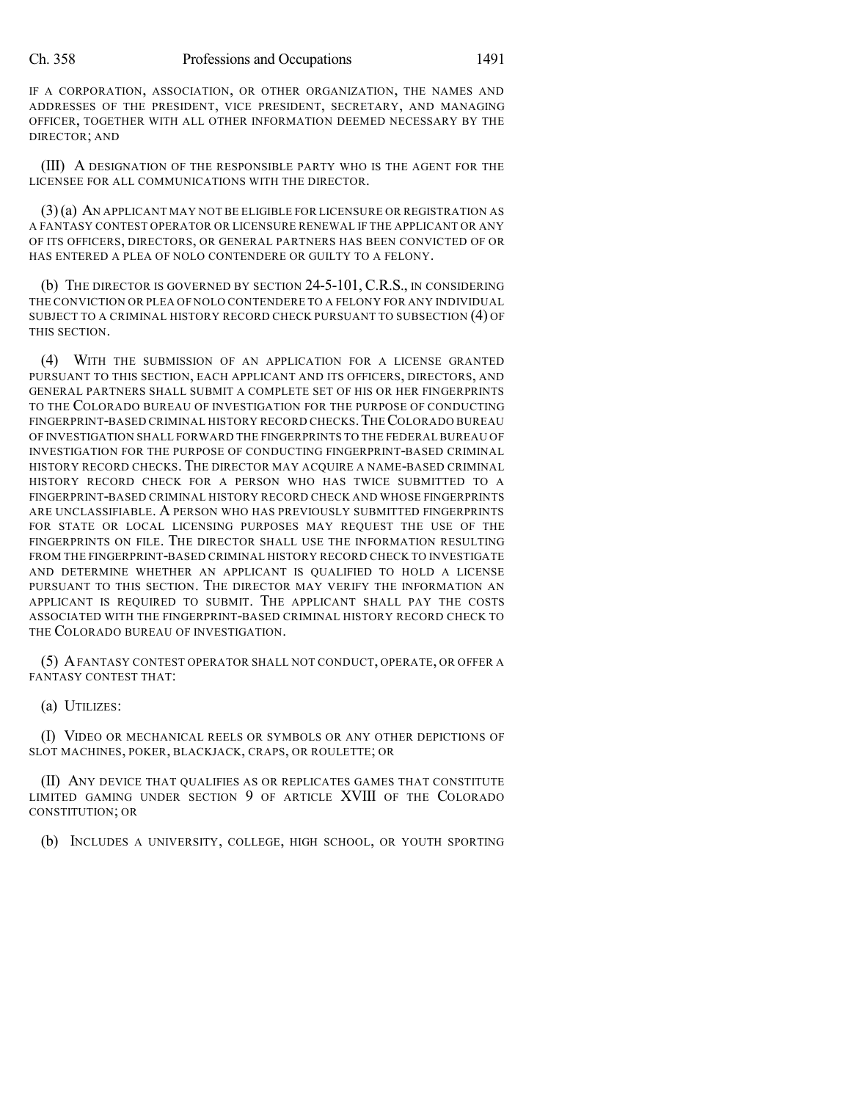#### Ch. 358 Professions and Occupations 1491

IF A CORPORATION, ASSOCIATION, OR OTHER ORGANIZATION, THE NAMES AND ADDRESSES OF THE PRESIDENT, VICE PRESIDENT, SECRETARY, AND MANAGING OFFICER, TOGETHER WITH ALL OTHER INFORMATION DEEMED NECESSARY BY THE DIRECTOR; AND

(III) A DESIGNATION OF THE RESPONSIBLE PARTY WHO IS THE AGENT FOR THE LICENSEE FOR ALL COMMUNICATIONS WITH THE DIRECTOR.

(3)(a) AN APPLICANT MAY NOT BE ELIGIBLE FOR LICENSURE OR REGISTRATION AS A FANTASY CONTEST OPERATOR OR LICENSURE RENEWAL IF THE APPLICANT OR ANY OF ITS OFFICERS, DIRECTORS, OR GENERAL PARTNERS HAS BEEN CONVICTED OF OR HAS ENTERED A PLEA OF NOLO CONTENDERE OR GUILTY TO A FELONY.

(b) THE DIRECTOR IS GOVERNED BY SECTION 24-5-101, C.R.S., IN CONSIDERING THE CONVICTION OR PLEA OF NOLO CONTENDERE TO A FELONY FOR ANY INDIVIDUAL SUBJECT TO A CRIMINAL HISTORY RECORD CHECK PURSUANT TO SUBSECTION (4) OF THIS SECTION.

(4) WITH THE SUBMISSION OF AN APPLICATION FOR A LICENSE GRANTED PURSUANT TO THIS SECTION, EACH APPLICANT AND ITS OFFICERS, DIRECTORS, AND GENERAL PARTNERS SHALL SUBMIT A COMPLETE SET OF HIS OR HER FINGERPRINTS TO THE COLORADO BUREAU OF INVESTIGATION FOR THE PURPOSE OF CONDUCTING FINGERPRINT-BASED CRIMINAL HISTORY RECORD CHECKS.THECOLORADO BUREAU OF INVESTIGATION SHALL FORWARD THE FINGERPRINTS TO THE FEDERAL BUREAU OF INVESTIGATION FOR THE PURPOSE OF CONDUCTING FINGERPRINT-BASED CRIMINAL HISTORY RECORD CHECKS. THE DIRECTOR MAY ACQUIRE A NAME-BASED CRIMINAL HISTORY RECORD CHECK FOR A PERSON WHO HAS TWICE SUBMITTED TO A FINGERPRINT-BASED CRIMINAL HISTORY RECORD CHECK AND WHOSE FINGERPRINTS ARE UNCLASSIFIABLE. A PERSON WHO HAS PREVIOUSLY SUBMITTED FINGERPRINTS FOR STATE OR LOCAL LICENSING PURPOSES MAY REQUEST THE USE OF THE FINGERPRINTS ON FILE. THE DIRECTOR SHALL USE THE INFORMATION RESULTING FROM THE FINGERPRINT-BASED CRIMINAL HISTORY RECORD CHECK TO INVESTIGATE AND DETERMINE WHETHER AN APPLICANT IS QUALIFIED TO HOLD A LICENSE PURSUANT TO THIS SECTION. THE DIRECTOR MAY VERIFY THE INFORMATION AN APPLICANT IS REQUIRED TO SUBMIT. THE APPLICANT SHALL PAY THE COSTS ASSOCIATED WITH THE FINGERPRINT-BASED CRIMINAL HISTORY RECORD CHECK TO THE COLORADO BUREAU OF INVESTIGATION.

(5) AFANTASY CONTEST OPERATOR SHALL NOT CONDUCT, OPERATE, OR OFFER A FANTASY CONTEST THAT:

(a) UTILIZES:

(I) VIDEO OR MECHANICAL REELS OR SYMBOLS OR ANY OTHER DEPICTIONS OF SLOT MACHINES, POKER, BLACKJACK, CRAPS, OR ROULETTE; OR

(II) ANY DEVICE THAT QUALIFIES AS OR REPLICATES GAMES THAT CONSTITUTE LIMITED GAMING UNDER SECTION 9 OF ARTICLE XVIII OF THE COLORADO CONSTITUTION; OR

(b) INCLUDES A UNIVERSITY, COLLEGE, HIGH SCHOOL, OR YOUTH SPORTING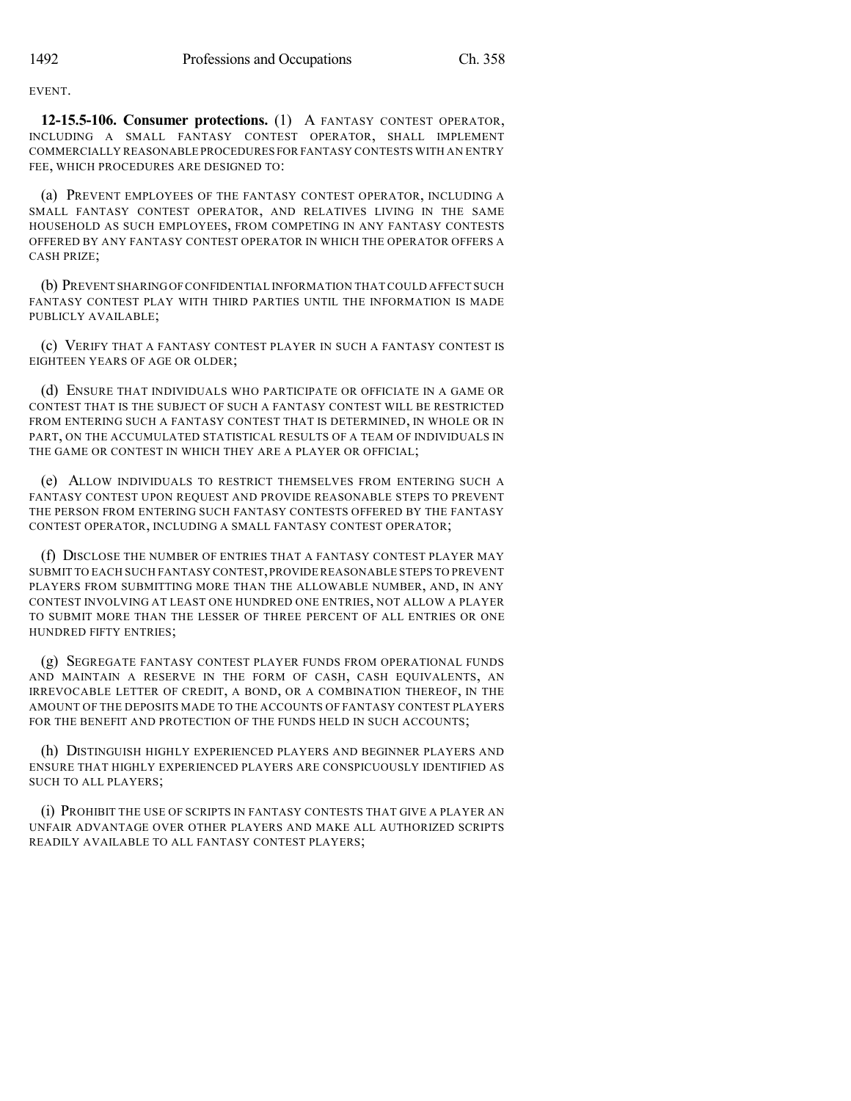**EVENT** 

**12-15.5-106. Consumer protections.** (1) A FANTASY CONTEST OPERATOR, INCLUDING A SMALL FANTASY CONTEST OPERATOR, SHALL IMPLEMENT COMMERCIALLY REASONABLE PROCEDURES FOR FANTASY CONTESTS WITH AN ENTRY FEE, WHICH PROCEDURES ARE DESIGNED TO:

(a) PREVENT EMPLOYEES OF THE FANTASY CONTEST OPERATOR, INCLUDING A SMALL FANTASY CONTEST OPERATOR, AND RELATIVES LIVING IN THE SAME HOUSEHOLD AS SUCH EMPLOYEES, FROM COMPETING IN ANY FANTASY CONTESTS OFFERED BY ANY FANTASY CONTEST OPERATOR IN WHICH THE OPERATOR OFFERS A CASH PRIZE;

(b) PREVENT SHARINGOFCONFIDENTIAL INFORMATION THAT COULD AFFECT SUCH FANTASY CONTEST PLAY WITH THIRD PARTIES UNTIL THE INFORMATION IS MADE PUBLICLY AVAILABLE;

(c) VERIFY THAT A FANTASY CONTEST PLAYER IN SUCH A FANTASY CONTEST IS EIGHTEEN YEARS OF AGE OR OLDER;

(d) ENSURE THAT INDIVIDUALS WHO PARTICIPATE OR OFFICIATE IN A GAME OR CONTEST THAT IS THE SUBJECT OF SUCH A FANTASY CONTEST WILL BE RESTRICTED FROM ENTERING SUCH A FANTASY CONTEST THAT IS DETERMINED, IN WHOLE OR IN PART, ON THE ACCUMULATED STATISTICAL RESULTS OF A TEAM OF INDIVIDUALS IN THE GAME OR CONTEST IN WHICH THEY ARE A PLAYER OR OFFICIAL;

(e) ALLOW INDIVIDUALS TO RESTRICT THEMSELVES FROM ENTERING SUCH A FANTASY CONTEST UPON REQUEST AND PROVIDE REASONABLE STEPS TO PREVENT THE PERSON FROM ENTERING SUCH FANTASY CONTESTS OFFERED BY THE FANTASY CONTEST OPERATOR, INCLUDING A SMALL FANTASY CONTEST OPERATOR;

(f) DISCLOSE THE NUMBER OF ENTRIES THAT A FANTASY CONTEST PLAYER MAY SUBMIT TO EACH SUCH FANTASY CONTEST,PROVIDEREASONABLE STEPS TO PREVENT PLAYERS FROM SUBMITTING MORE THAN THE ALLOWABLE NUMBER, AND, IN ANY CONTEST INVOLVING AT LEAST ONE HUNDRED ONE ENTRIES, NOT ALLOW A PLAYER TO SUBMIT MORE THAN THE LESSER OF THREE PERCENT OF ALL ENTRIES OR ONE HUNDRED FIFTY ENTRIES;

(g) SEGREGATE FANTASY CONTEST PLAYER FUNDS FROM OPERATIONAL FUNDS AND MAINTAIN A RESERVE IN THE FORM OF CASH, CASH EQUIVALENTS, AN IRREVOCABLE LETTER OF CREDIT, A BOND, OR A COMBINATION THEREOF, IN THE AMOUNT OF THE DEPOSITS MADE TO THE ACCOUNTS OF FANTASY CONTEST PLAYERS FOR THE BENEFIT AND PROTECTION OF THE FUNDS HELD IN SUCH ACCOUNTS:

(h) DISTINGUISH HIGHLY EXPERIENCED PLAYERS AND BEGINNER PLAYERS AND ENSURE THAT HIGHLY EXPERIENCED PLAYERS ARE CONSPICUOUSLY IDENTIFIED AS SUCH TO ALL PLAYERS;

(i) PROHIBIT THE USE OF SCRIPTS IN FANTASY CONTESTS THAT GIVE A PLAYER AN UNFAIR ADVANTAGE OVER OTHER PLAYERS AND MAKE ALL AUTHORIZED SCRIPTS READILY AVAILABLE TO ALL FANTASY CONTEST PLAYERS;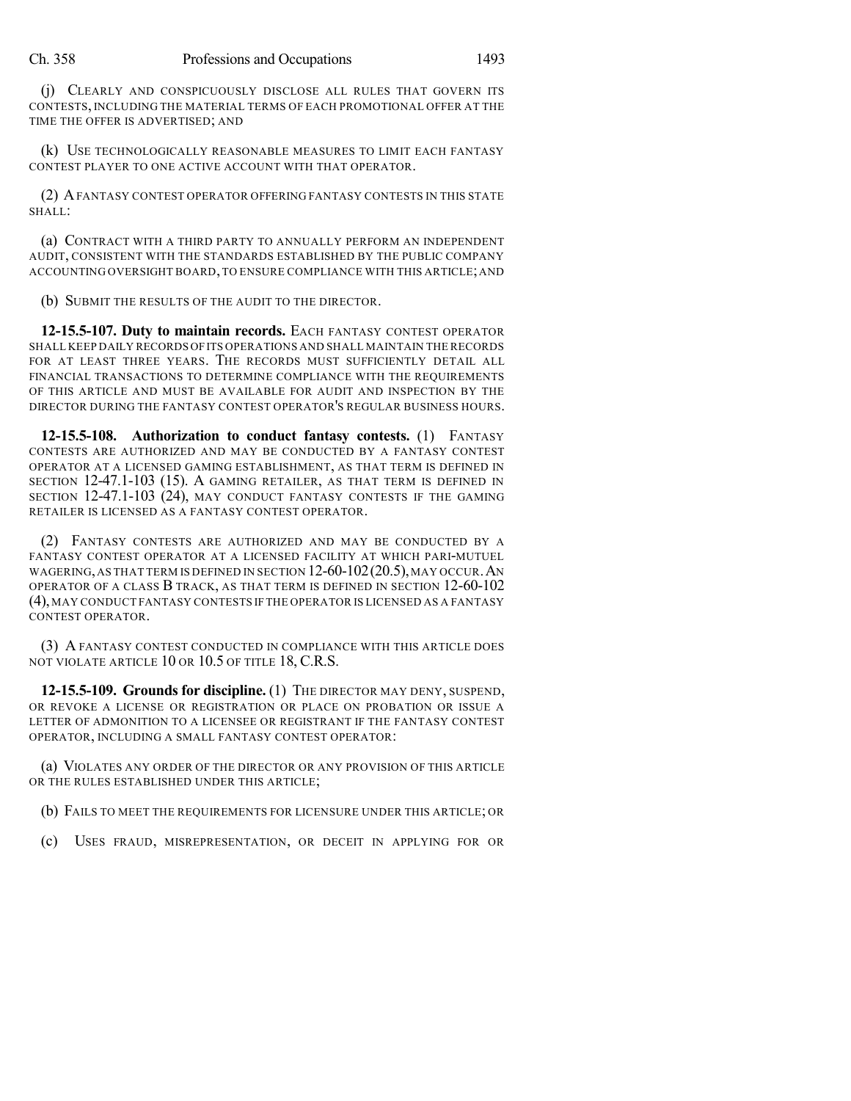(j) CLEARLY AND CONSPICUOUSLY DISCLOSE ALL RULES THAT GOVERN ITS CONTESTS, INCLUDING THE MATERIAL TERMS OF EACH PROMOTIONAL OFFER AT THE TIME THE OFFER IS ADVERTISED; AND

(k) USE TECHNOLOGICALLY REASONABLE MEASURES TO LIMIT EACH FANTASY CONTEST PLAYER TO ONE ACTIVE ACCOUNT WITH THAT OPERATOR.

(2) AFANTASY CONTEST OPERATOR OFFERING FANTASY CONTESTS IN THIS STATE SHALL:

(a) CONTRACT WITH A THIRD PARTY TO ANNUALLY PERFORM AN INDEPENDENT AUDIT, CONSISTENT WITH THE STANDARDS ESTABLISHED BY THE PUBLIC COMPANY ACCOUNTING OVERSIGHT BOARD, TO ENSURE COMPLIANCE WITH THIS ARTICLE;AND

(b) SUBMIT THE RESULTS OF THE AUDIT TO THE DIRECTOR.

**12-15.5-107. Duty to maintain records.** EACH FANTASY CONTEST OPERATOR SHALL KEEP DAILY RECORDS OFITS OPERATIONS AND SHALL MAINTAIN THE RECORDS FOR AT LEAST THREE YEARS. THE RECORDS MUST SUFFICIENTLY DETAIL ALL FINANCIAL TRANSACTIONS TO DETERMINE COMPLIANCE WITH THE REQUIREMENTS OF THIS ARTICLE AND MUST BE AVAILABLE FOR AUDIT AND INSPECTION BY THE DIRECTOR DURING THE FANTASY CONTEST OPERATOR'S REGULAR BUSINESS HOURS.

**12-15.5-108. Authorization to conduct fantasy contests.** (1) FANTASY CONTESTS ARE AUTHORIZED AND MAY BE CONDUCTED BY A FANTASY CONTEST OPERATOR AT A LICENSED GAMING ESTABLISHMENT, AS THAT TERM IS DEFINED IN SECTION 12-47.1-103 (15). A GAMING RETAILER, AS THAT TERM IS DEFINED IN SECTION 12-47.1-103 (24), MAY CONDUCT FANTASY CONTESTS IF THE GAMING RETAILER IS LICENSED AS A FANTASY CONTEST OPERATOR.

(2) FANTASY CONTESTS ARE AUTHORIZED AND MAY BE CONDUCTED BY A FANTASY CONTEST OPERATOR AT A LICENSED FACILITY AT WHICH PARI-MUTUEL WAGERING, AS THAT TERM IS DEFINED IN SECTION  $12-60-102(20.5)$ , MAY OCCUR. AN OPERATOR OF A CLASS B TRACK, AS THAT TERM IS DEFINED IN SECTION 12-60-102 (4), MAY CONDUCT FANTASY CONTESTS IF THE OPERATOR IS LICENSED AS A FANTASY CONTEST OPERATOR.

(3) A FANTASY CONTEST CONDUCTED IN COMPLIANCE WITH THIS ARTICLE DOES NOT VIOLATE ARTICLE 10 OR 10.5 OF TITLE 18, C.R.S.

**12-15.5-109. Groundsfor discipline.** (1) THE DIRECTOR MAY DENY, SUSPEND, OR REVOKE A LICENSE OR REGISTRATION OR PLACE ON PROBATION OR ISSUE A LETTER OF ADMONITION TO A LICENSEE OR REGISTRANT IF THE FANTASY CONTEST OPERATOR, INCLUDING A SMALL FANTASY CONTEST OPERATOR:

(a) VIOLATES ANY ORDER OF THE DIRECTOR OR ANY PROVISION OF THIS ARTICLE OR THE RULES ESTABLISHED UNDER THIS ARTICLE;

(b) FAILS TO MEET THE REQUIREMENTS FOR LICENSURE UNDER THIS ARTICLE; OR

(c) USES FRAUD, MISREPRESENTATION, OR DECEIT IN APPLYING FOR OR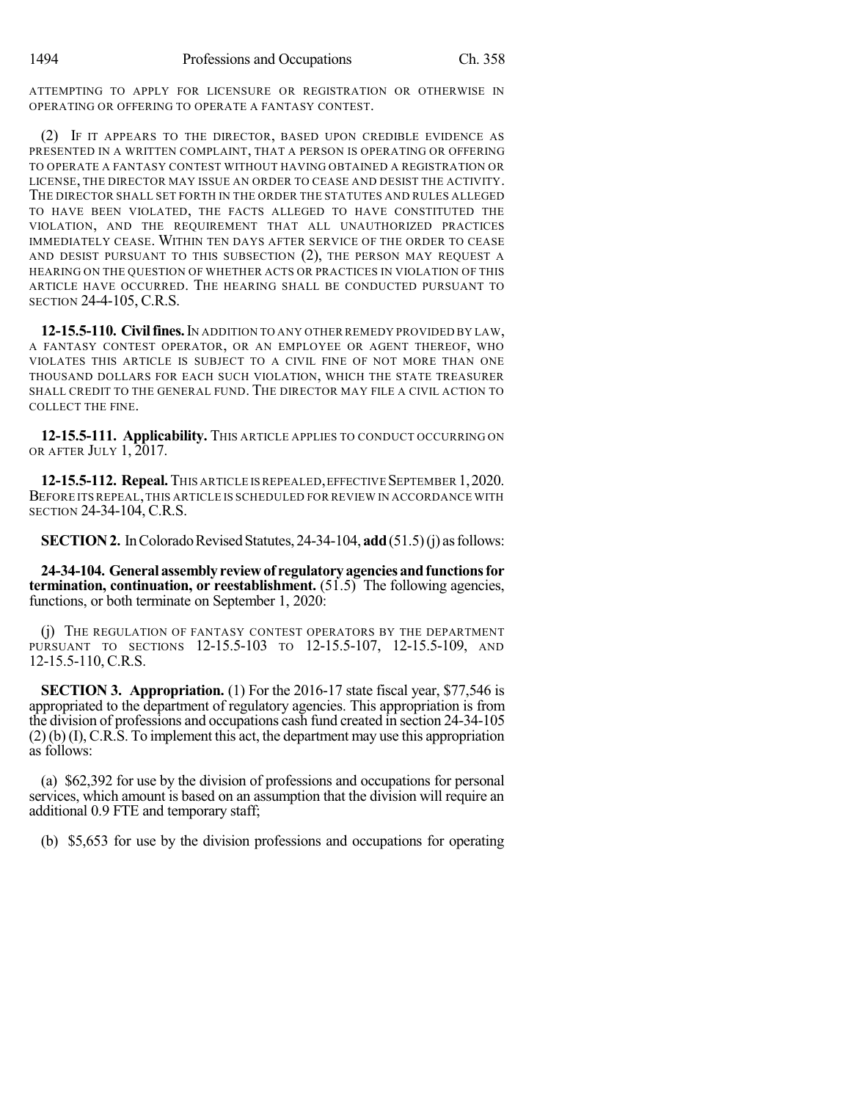ATTEMPTING TO APPLY FOR LICENSURE OR REGISTRATION OR OTHERWISE IN OPERATING OR OFFERING TO OPERATE A FANTASY CONTEST.

(2) IF IT APPEARS TO THE DIRECTOR, BASED UPON CREDIBLE EVIDENCE AS PRESENTED IN A WRITTEN COMPLAINT, THAT A PERSON IS OPERATING OR OFFERING TO OPERATE A FANTASY CONTEST WITHOUT HAVING OBTAINED A REGISTRATION OR LICENSE, THE DIRECTOR MAY ISSUE AN ORDER TO CEASE AND DESIST THE ACTIVITY. THE DIRECTOR SHALL SET FORTH IN THE ORDER THE STATUTES AND RULES ALLEGED TO HAVE BEEN VIOLATED, THE FACTS ALLEGED TO HAVE CONSTITUTED THE VIOLATION, AND THE REQUIREMENT THAT ALL UNAUTHORIZED PRACTICES IMMEDIATELY CEASE. WITHIN TEN DAYS AFTER SERVICE OF THE ORDER TO CEASE AND DESIST PURSUANT TO THIS SUBSECTION (2), THE PERSON MAY REQUEST A HEARING ON THE QUESTION OF WHETHER ACTS OR PRACTICES IN VIOLATION OF THIS ARTICLE HAVE OCCURRED. THE HEARING SHALL BE CONDUCTED PURSUANT TO SECTION 24-4-105, C.R.S.

**12-15.5-110. Civilfines.**IN ADDITION TO ANY OTHER REMEDY PROVIDED BY LAW, A FANTASY CONTEST OPERATOR, OR AN EMPLOYEE OR AGENT THEREOF, WHO VIOLATES THIS ARTICLE IS SUBJECT TO A CIVIL FINE OF NOT MORE THAN ONE THOUSAND DOLLARS FOR EACH SUCH VIOLATION, WHICH THE STATE TREASURER SHALL CREDIT TO THE GENERAL FUND. THE DIRECTOR MAY FILE A CIVIL ACTION TO COLLECT THE FINE.

**12-15.5-111. Applicability.** THIS ARTICLE APPLIES TO CONDUCT OCCURRING ON OR AFTER JULY 1, 2017.

**12-15.5-112. Repeal.**THIS ARTICLE IS REPEALED,EFFECTIVE SEPTEMBER 1,2020. BEFORE ITS REPEAL,THIS ARTICLE IS SCHEDULED FOR REVIEW IN ACCORDANCE WITH SECTION 24-34-104, C.R.S.

**SECTION 2.** In Colorado Revised Statutes, 24-34-104, **add** (51.5)(j) as follows:

**24-34-104. General assemblyreviewof regulatoryagenciesandfunctionsfor termination, continuation, or reestablishment.** (51.5) The following agencies, functions, or both terminate on September 1, 2020:

(j) THE REGULATION OF FANTASY CONTEST OPERATORS BY THE DEPARTMENT PURSUANT TO SECTIONS 12-15.5-103 TO 12-15.5-107, 12-15.5-109, AND 12-15.5-110, C.R.S.

**SECTION 3. Appropriation.** (1) For the 2016-17 state fiscal year, \$77,546 is appropriated to the department of regulatory agencies. This appropriation is from the division of professions and occupations cash fund created in section 24-34-105 (2) (b) (I), C.R.S. To implement this act, the department may use this appropriation as follows:

(a) \$62,392 for use by the division of professions and occupations for personal services, which amount is based on an assumption that the division will require an additional 0.9 FTE and temporary staff;

(b) \$5,653 for use by the division professions and occupations for operating